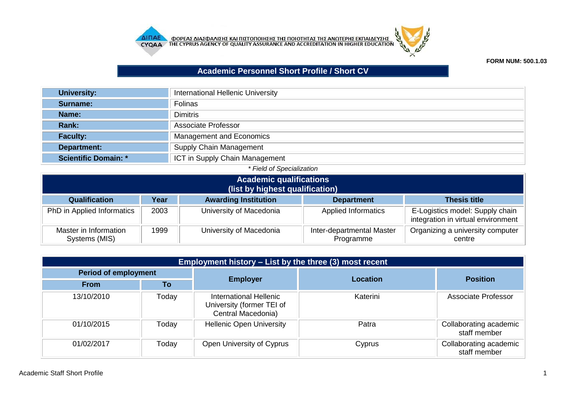



## **FORM NUM: 500.1.03**

## **Academic Personnel Short Profile / Short CV**

| <b>University:</b>          | <b>International Hellenic University</b> |
|-----------------------------|------------------------------------------|
| Surname:                    | <b>Folinas</b>                           |
| Name:                       | <b>Dimitris</b>                          |
| <b>Rank:</b>                | Associate Professor                      |
| <b>Faculty:</b>             | Management and Economics                 |
| Department:                 | <b>Supply Chain Management</b>           |
| <b>Scientific Domain: *</b> | ICT in Supply Chain Management           |

| * Field of Specialization              |      |                                 |                                        |                                                                       |
|----------------------------------------|------|---------------------------------|----------------------------------------|-----------------------------------------------------------------------|
| <b>Academic qualifications</b>         |      |                                 |                                        |                                                                       |
|                                        |      | (list by highest qualification) |                                        |                                                                       |
| Qualification                          | Year | <b>Awarding Institution</b>     | <b>Department</b>                      | <b>Thesis title</b>                                                   |
| PhD in Applied Informatics             | 2003 | University of Macedonia         | <b>Applied Informatics</b>             | E-Logistics model: Supply chain<br>integration in virtual environment |
| Master in Information<br>Systems (MIS) | 1999 | University of Macedonia         | Inter-departmental Master<br>Programme | Organizing a university computer<br>centre                            |

| Employment history – List by the three (3) most recent |       |                                                                           |                 |                                        |
|--------------------------------------------------------|-------|---------------------------------------------------------------------------|-----------------|----------------------------------------|
| <b>Period of employment</b>                            |       |                                                                           | <b>Location</b> |                                        |
| <b>From</b>                                            | Τo    | <b>Employer</b>                                                           |                 | <b>Position</b>                        |
| 13/10/2010                                             | Today | International Hellenic<br>University (former TEI of<br>Central Macedonia) | Katerini        | Associate Professor                    |
| 01/10/2015                                             | Today | <b>Hellenic Open University</b>                                           | Patra           | Collaborating academic<br>staff member |
| 01/02/2017                                             | Today | Open University of Cyprus                                                 | Cyprus          | Collaborating academic<br>staff member |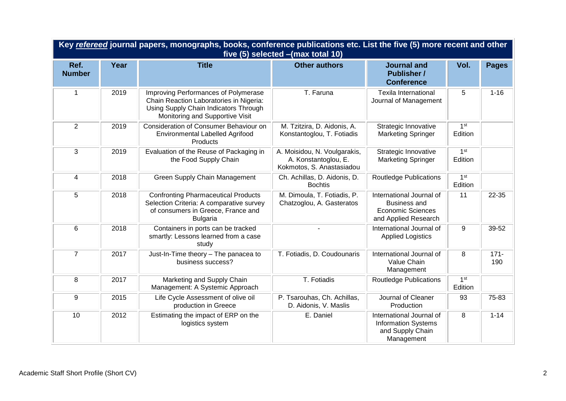| Key refereed journal papers, monographs, books, conference publications etc. List the five (5) more recent and other<br>five (5) selected - (max total 10) |      |                                                                                                                                                             |                                                                                   |                                                                                                     |                            |                |
|------------------------------------------------------------------------------------------------------------------------------------------------------------|------|-------------------------------------------------------------------------------------------------------------------------------------------------------------|-----------------------------------------------------------------------------------|-----------------------------------------------------------------------------------------------------|----------------------------|----------------|
| Ref.<br><b>Number</b>                                                                                                                                      | Year | <b>Title</b>                                                                                                                                                | <b>Other authors</b>                                                              | <b>Journal and</b><br><b>Publisher /</b><br><b>Conference</b>                                       | Vol.                       | <b>Pages</b>   |
| 1                                                                                                                                                          | 2019 | Improving Performances of Polymerase<br>Chain Reaction Laboratories in Nigeria:<br>Using Supply Chain Indicators Through<br>Monitoring and Supportive Visit | T. Faruna                                                                         | <b>Texila International</b><br>Journal of Management                                                | 5                          | $1 - 16$       |
| $\overline{2}$                                                                                                                                             | 2019 | Consideration of Consumer Behaviour on<br><b>Environmental Labelled Agrifood</b><br>Products                                                                | M. Tzitzira, D. Aidonis, A.<br>Konstantoglou, T. Fotiadis                         | Strategic Innovative<br><b>Marketing Springer</b>                                                   | 1 <sup>st</sup><br>Edition |                |
| 3                                                                                                                                                          | 2019 | Evaluation of the Reuse of Packaging in<br>the Food Supply Chain                                                                                            | A. Moisidou, N. Voulgarakis,<br>A. Konstantoglou, E.<br>Kokmotos, S. Anastasiadou | Strategic Innovative<br><b>Marketing Springer</b>                                                   | 1 <sup>st</sup><br>Edition |                |
| 4                                                                                                                                                          | 2018 | <b>Green Supply Chain Management</b>                                                                                                                        | Ch. Achillas, D. Aidonis, D.<br><b>Bochtis</b>                                    | Routledge Publications                                                                              | 1 <sup>st</sup><br>Edition |                |
| 5                                                                                                                                                          | 2018 | <b>Confronting Pharmaceutical Products</b><br>Selection Criteria: A comparative survey<br>of consumers in Greece, France and<br><b>Bulgaria</b>             | M. Dimoula, T. Fotiadis, P.<br>Chatzoglou, A. Gasteratos                          | International Journal of<br><b>Business and</b><br><b>Economic Sciences</b><br>and Applied Research | 11                         | 22-35          |
| 6                                                                                                                                                          | 2018 | Containers in ports can be tracked<br>smartly: Lessons learned from a case<br>study                                                                         |                                                                                   | International Journal of<br><b>Applied Logistics</b>                                                | $\boldsymbol{9}$           | 39-52          |
| $\overline{7}$                                                                                                                                             | 2017 | Just-In-Time theory - The panacea to<br>business success?                                                                                                   | T. Fotiadis, D. Coudounaris                                                       | International Journal of<br>Value Chain<br>Management                                               | 8                          | $171 -$<br>190 |
| 8                                                                                                                                                          | 2017 | Marketing and Supply Chain<br>Management: A Systemic Approach                                                                                               | T. Fotiadis                                                                       | <b>Routledge Publications</b>                                                                       | 1 <sup>st</sup><br>Edition |                |
| 9                                                                                                                                                          | 2015 | Life Cycle Assessment of olive oil<br>production in Greece                                                                                                  | P. Tsarouhas, Ch. Achillas,<br>D. Aidonis, V. Maslis                              | Journal of Cleaner<br>Production                                                                    | 93                         | 75-83          |
| 10                                                                                                                                                         | 2012 | Estimating the impact of ERP on the<br>logistics system                                                                                                     | E. Daniel                                                                         | International Journal of<br><b>Information Systems</b><br>and Supply Chain<br>Management            | 8                          | $1 - 14$       |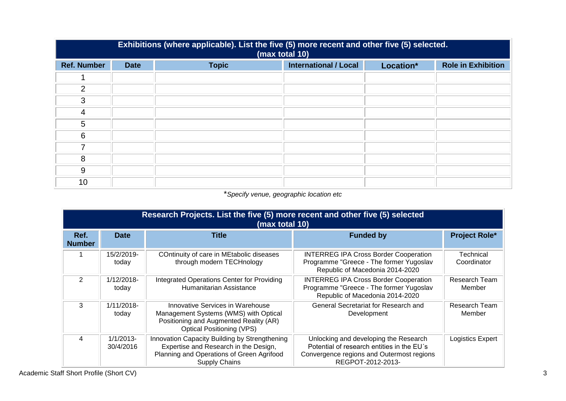| Exhibitions (where applicable). List the five (5) more recent and other five (5) selected.<br>(max total 10) |             |              |                              |           |                           |
|--------------------------------------------------------------------------------------------------------------|-------------|--------------|------------------------------|-----------|---------------------------|
| <b>Ref. Number</b>                                                                                           | <b>Date</b> | <b>Topic</b> | <b>International / Local</b> | Location* | <b>Role in Exhibition</b> |
|                                                                                                              |             |              |                              |           |                           |
| 2                                                                                                            |             |              |                              |           |                           |
| 3                                                                                                            |             |              |                              |           |                           |
| 4                                                                                                            |             |              |                              |           |                           |
| 5                                                                                                            |             |              |                              |           |                           |
| 6                                                                                                            |             |              |                              |           |                           |
|                                                                                                              |             |              |                              |           |                           |
| 8                                                                                                            |             |              |                              |           |                           |
| 9                                                                                                            |             |              |                              |           |                           |
| 10                                                                                                           |             |              |                              |           |                           |

## \**Specify venue, geographic location etc*

|                       | Research Projects. List the five (5) more recent and other five (5) selected<br>(max total 10) |                                                                                                                                                             |                                                                                                                                                       |                          |  |
|-----------------------|------------------------------------------------------------------------------------------------|-------------------------------------------------------------------------------------------------------------------------------------------------------------|-------------------------------------------------------------------------------------------------------------------------------------------------------|--------------------------|--|
| Ref.<br><b>Number</b> | <b>Date</b>                                                                                    | <b>Title</b>                                                                                                                                                | <b>Funded by</b>                                                                                                                                      | <b>Project Role*</b>     |  |
|                       | 15/2/2019-<br>today                                                                            | COntinuity of care in MEtabolic diseases<br>through modern TECHnology                                                                                       | <b>INTERREG IPA Cross Border Cooperation</b><br>Programme "Greece - The former Yugoslav<br>Republic of Macedonia 2014-2020                            | Technical<br>Coordinator |  |
| 2                     | $1/12/2018$ -<br>today                                                                         | Integrated Operations Center for Providing<br>Humanitarian Assistance                                                                                       | <b>INTERREG IPA Cross Border Cooperation</b><br>Programme "Greece - The former Yugoslav<br>Republic of Macedonia 2014-2020                            | Research Team<br>Member  |  |
| 3                     | $1/11/2018$ -<br>today                                                                         | Innovative Services in Warehouse<br>Management Systems (WMS) with Optical<br>Positioning and Augmented Reality (AR)<br><b>Optical Positioning (VPS)</b>     | General Secretariat for Research and<br>Development                                                                                                   | Research Team<br>Member  |  |
| 4                     | $1/1/2013-$<br>30/4/2016                                                                       | Innovation Capacity Building by Strengthening<br>Expertise and Research in the Design,<br>Planning and Operations of Green Agrifood<br><b>Supply Chains</b> | Unlocking and developing the Research<br>Potential of research entities in the EU's<br>Convergence regions and Outermost regions<br>REGPOT-2012-2013- | Logistics Expert         |  |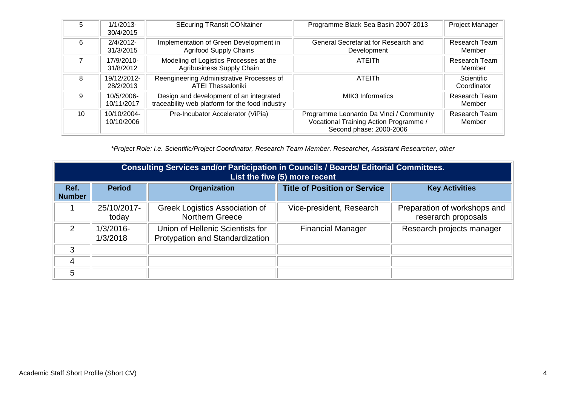| 5  | $1/1/2013-$<br>30/4/2015  | <b>SEcuring TRansit CONtainer</b>                                                          | Programme Black Sea Basin 2007-2013                                                                          | <b>Project Manager</b>           |
|----|---------------------------|--------------------------------------------------------------------------------------------|--------------------------------------------------------------------------------------------------------------|----------------------------------|
| 6  | 2/4/2012-<br>31/3/2015    | Implementation of Green Development in<br><b>Agrifood Supply Chains</b>                    | General Secretariat for Research and<br>Development                                                          | Research Team<br>Member          |
|    | 17/9/2010-<br>31/8/2012   | Modeling of Logistics Processes at the<br>Agribusiness Supply Chain                        | <b>ATEITH</b>                                                                                                | <b>Research Team</b><br>Member   |
| 8  | 19/12/2012-<br>28/2/2013  | Reengineering Administrative Processes of<br><b>ATEI Thessaloniki</b>                      | ATEITh                                                                                                       | <b>Scientific</b><br>Coordinator |
| 9  | 10/5/2006-<br>10/11/2017  | Design and development of an integrated<br>traceability web platform for the food industry | MIK3 Informatics                                                                                             | Research Team<br>Member          |
| 10 | 10/10/2004-<br>10/10/2006 | Pre-Incubator Accelerator (ViPia)                                                          | Programme Leonardo Da Vinci / Community<br>Vocational Training Action Programme /<br>Second phase: 2000-2006 | <b>Research Team</b><br>Member   |

*\*Project Role: i.e. Scientific/Project Coordinator, Research Team Member, Researcher, Assistant Researcher, other*

|                       | Consulting Services and/or Participation in Councils / Boards/ Editorial Committees.<br>List the five (5) more recent |                                                                     |                                     |                                                     |  |
|-----------------------|-----------------------------------------------------------------------------------------------------------------------|---------------------------------------------------------------------|-------------------------------------|-----------------------------------------------------|--|
| Ref.<br><b>Number</b> | <b>Period</b>                                                                                                         | <b>Organization</b>                                                 | <b>Title of Position or Service</b> | <b>Key Activities</b>                               |  |
|                       | 25/10/2017-<br>today                                                                                                  | Greek Logistics Association of<br><b>Northern Greece</b>            | Vice-president, Research            | Preparation of workshops and<br>reserarch proposals |  |
| $\mathcal{P}$         | $1/3/2016$ -<br>1/3/2018                                                                                              | Union of Hellenic Scientists for<br>Protypation and Standardization | <b>Financial Manager</b>            | Research projects manager                           |  |
| 3                     |                                                                                                                       |                                                                     |                                     |                                                     |  |
| 4                     |                                                                                                                       |                                                                     |                                     |                                                     |  |
| 5                     |                                                                                                                       |                                                                     |                                     |                                                     |  |